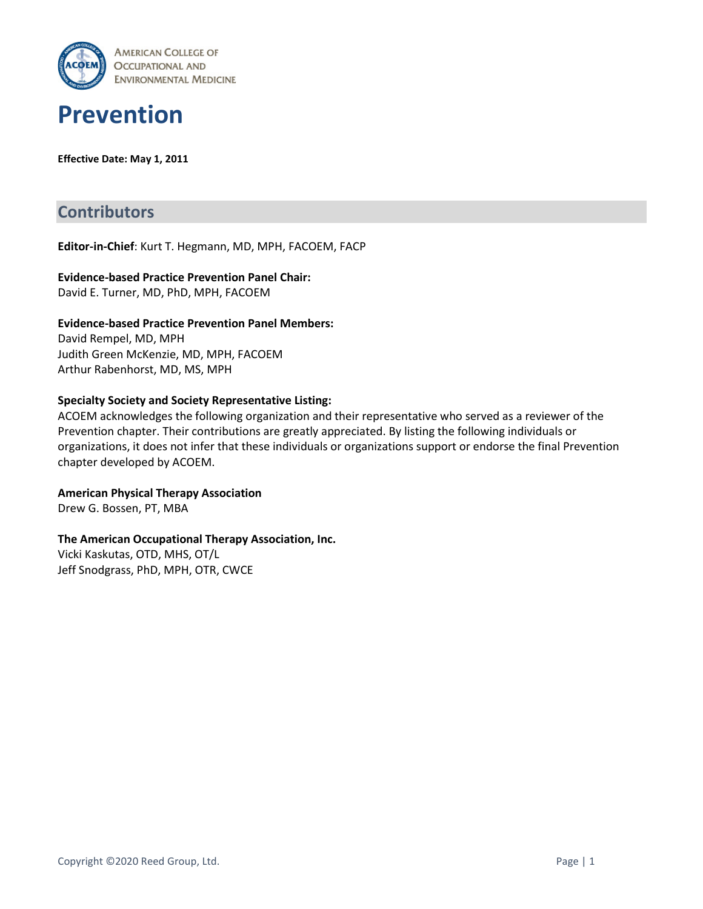



**Effective Date: May 1, 2011**

# **Contributors**

**Editor-in-Chief**: Kurt T. Hegmann, MD, MPH, FACOEM, FACP

#### **Evidence-based Practice Prevention Panel Chair:** David E. Turner, MD, PhD, MPH, FACOEM

**Evidence-based Practice Prevention Panel Members:** David Rempel, MD, MPH Judith Green McKenzie, MD, MPH, FACOEM Arthur Rabenhorst, MD, MS, MPH

#### **Specialty Society and Society Representative Listing:**

ACOEM acknowledges the following organization and their representative who served as a reviewer of the Prevention chapter. Their contributions are greatly appreciated. By listing the following individuals or organizations, it does not infer that these individuals or organizations support or endorse the final Prevention chapter developed by ACOEM.

**American Physical Therapy Association**

Drew G. Bossen, PT, MBA

#### **The American Occupational Therapy Association, Inc.**

Vicki Kaskutas, OTD, MHS, OT/L Jeff Snodgrass, PhD, MPH, OTR, CWCE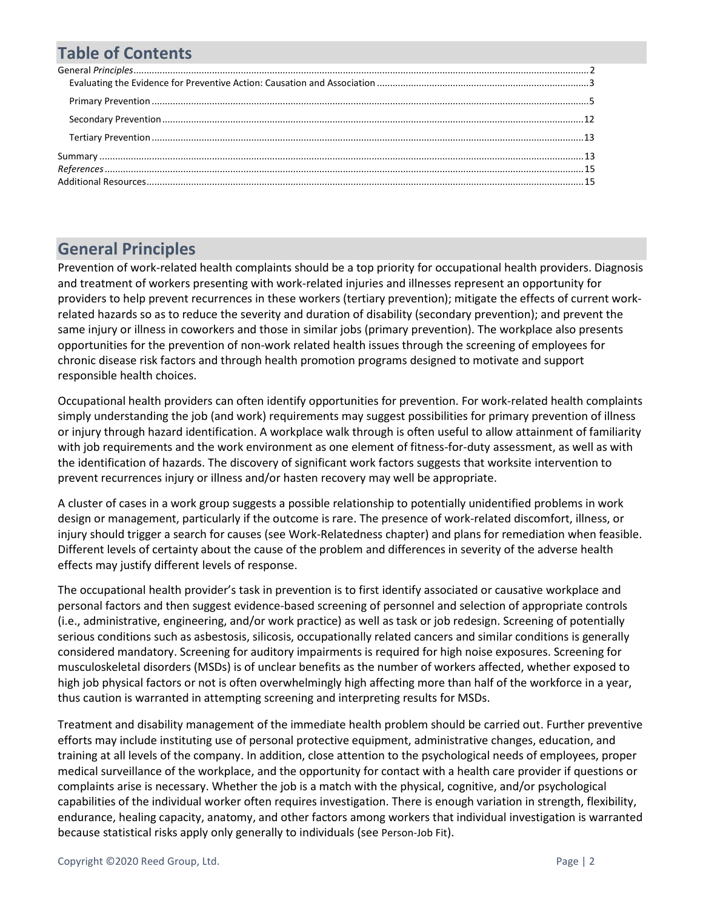# **Table of Contents**

# <span id="page-1-0"></span>**General Principles**

Prevention of work-related health complaints should be a top priority for occupational health providers. Diagnosis and treatment of workers presenting with work-related injuries and illnesses represent an opportunity for providers to help prevent recurrences in these workers (tertiary prevention); mitigate the effects of current workrelated hazards so as to reduce the severity and duration of disability (secondary prevention); and prevent the same injury or illness in coworkers and those in similar jobs (primary prevention). The workplace also presents opportunities for the prevention of non-work related health issues through the screening of employees for chronic disease risk factors and through health promotion programs designed to motivate and support responsible health choices.

Occupational health providers can often identify opportunities for prevention. For work-related health complaints simply understanding the job (and work) requirements may suggest possibilities for primary prevention of illness or injury through hazard identification. A workplace walk through is often useful to allow attainment of familiarity with job requirements and the work environment as one element of fitness-for-duty assessment, as well as with the identification of hazards. The discovery of significant work factors suggests that worksite intervention to prevent recurrences injury or illness and/or hasten recovery may well be appropriate.

A cluster of cases in a work group suggests a possible relationship to potentially unidentified problems in work design or management, particularly if the outcome is rare. The presence of work-related discomfort, illness, or injury should trigger a search for causes (see Work-Relatedness chapter) and plans for remediation when feasible. Different levels of certainty about the cause of the problem and differences in severity of the adverse health effects may justify different levels of response.

The occupational health provider's task in prevention is to first identify associated or causative workplace and personal factors and then suggest evidence-based screening of personnel and selection of appropriate controls (i.e., administrative, engineering, and/or work practice) as well as task or job redesign. Screening of potentially serious conditions such as asbestosis, silicosis, occupationally related cancers and similar conditions is generally considered mandatory. Screening for auditory impairments is required for high noise exposures. Screening for musculoskeletal disorders (MSDs) is of unclear benefits as the number of workers affected, whether exposed to high job physical factors or not is often overwhelmingly high affecting more than half of the workforce in a year, thus caution is warranted in attempting screening and interpreting results for MSDs.

Treatment and disability management of the immediate health problem should be carried out. Further preventive efforts may include instituting use of personal protective equipment, administrative changes, education, and training at all levels of the company. In addition, close attention to the psychological needs of employees, proper medical surveillance of the workplace, and the opportunity for contact with a health care provider if questions or complaints arise is necessary. Whether the job is a match with the physical, cognitive, and/or psychological capabilities of the individual worker often requires investigation. There is enough variation in strength, flexibility, endurance, healing capacity, anatomy, and other factors among workers that individual investigation is warranted because statistical risks apply only generally to individuals (see [Person-Job Fit](#page-3-0)).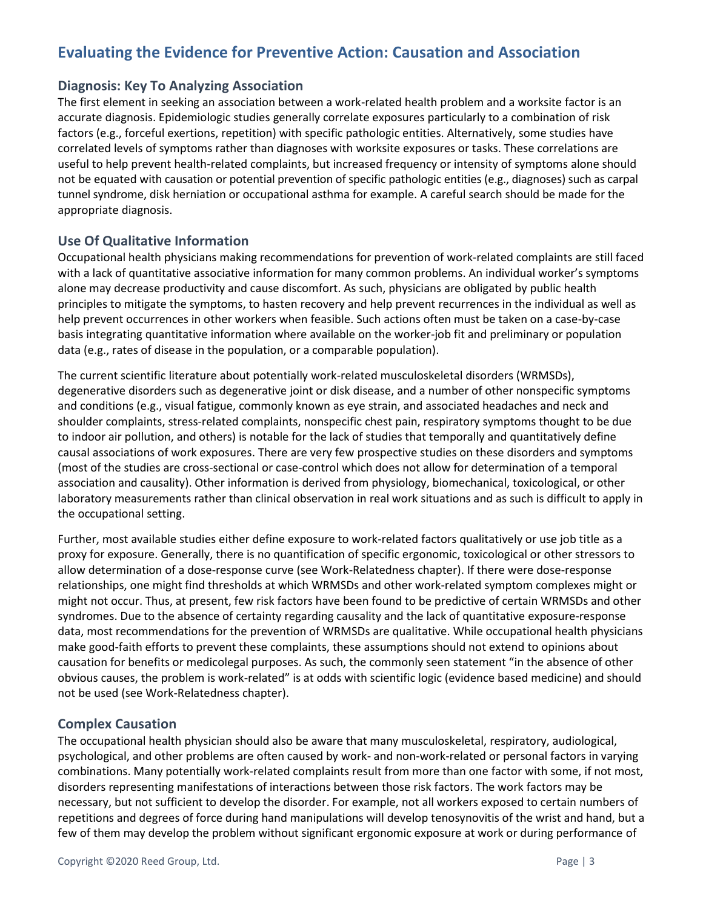# <span id="page-2-0"></span>**Evaluating the Evidence for Preventive Action: Causation and Association**

### **Diagnosis: Key To Analyzing Association**

The first element in seeking an association between a work-related health problem and a worksite factor is an accurate diagnosis. Epidemiologic studies generally correlate exposures particularly to a combination of risk factors (e.g., forceful exertions, repetition) with specific pathologic entities. Alternatively, some studies have correlated levels of symptoms rather than diagnoses with worksite exposures or tasks. These correlations are useful to help prevent health-related complaints, but increased frequency or intensity of symptoms alone should not be equated with causation or potential prevention of specific pathologic entities (e.g., diagnoses) such as carpal tunnel syndrome, disk herniation or occupational asthma for example. A careful search should be made for the appropriate diagnosis.

### **Use Of Qualitative Information**

Occupational health physicians making recommendations for prevention of work-related complaints are still faced with a lack of quantitative associative information for many common problems. An individual worker's symptoms alone may decrease productivity and cause discomfort. As such, physicians are obligated by public health principles to mitigate the symptoms, to hasten recovery and help prevent recurrences in the individual as well as help prevent occurrences in other workers when feasible. Such actions often must be taken on a case-by-case basis integrating quantitative information where available on the worker-job fit and preliminary or population data (e.g., rates of disease in the population, or a comparable population).

The current scientific literature about potentially work-related musculoskeletal disorders (WRMSDs), degenerative disorders such as degenerative joint or disk disease, and a number of other nonspecific symptoms and conditions (e.g., visual fatigue, commonly known as eye strain, and associated headaches and neck and shoulder complaints, stress-related complaints, nonspecific chest pain, respiratory symptoms thought to be due to indoor air pollution, and others) is notable for the lack of studies that temporally and quantitatively define causal associations of work exposures. There are very few prospective studies on these disorders and symptoms (most of the studies are cross-sectional or case-control which does not allow for determination of a temporal association and causality). Other information is derived from physiology, biomechanical, toxicological, or other laboratory measurements rather than clinical observation in real work situations and as such is difficult to apply in the occupational setting.

Further, most available studies either define exposure to work-related factors qualitatively or use job title as a proxy for exposure. Generally, there is no quantification of specific ergonomic, toxicological or other stressors to allow determination of a dose-response curve (see Work-Relatedness chapter). If there were dose-response relationships, one might find thresholds at which WRMSDs and other work-related symptom complexes might or might not occur. Thus, at present, few risk factors have been found to be predictive of certain WRMSDs and other syndromes. Due to the absence of certainty regarding causality and the lack of quantitative exposure-response data, most recommendations for the prevention of WRMSDs are qualitative. While occupational health physicians make good-faith efforts to prevent these complaints, these assumptions should not extend to opinions about causation for benefits or medicolegal purposes. As such, the commonly seen statement "in the absence of other obvious causes, the problem is work-related" is at odds with scientific logic (evidence based medicine) and should not be used (see Work-Relatedness chapter).

#### **Complex Causation**

The occupational health physician should also be aware that many musculoskeletal, respiratory, audiological, psychological, and other problems are often caused by work- and non-work-related or personal factors in varying combinations. Many potentially work-related complaints result from more than one factor with some, if not most, disorders representing manifestations of interactions between those risk factors. The work factors may be necessary, but not sufficient to develop the disorder. For example, not all workers exposed to certain numbers of repetitions and degrees of force during hand manipulations will develop tenosynovitis of the wrist and hand, but a few of them may develop the problem without significant ergonomic exposure at work or during performance of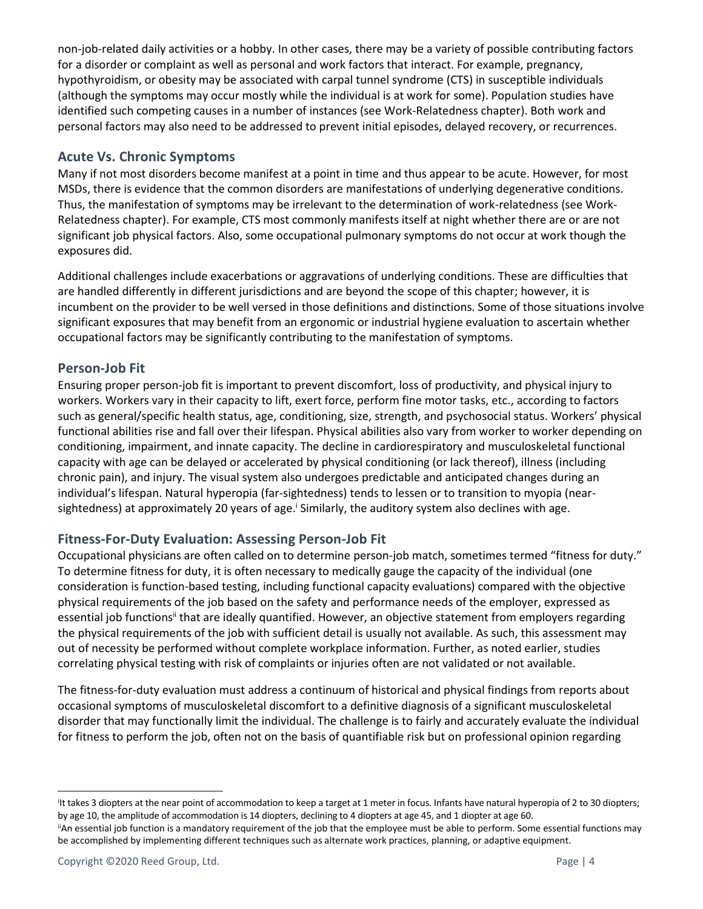non-job-related daily activities or a hobby. In other cases, there may be a variety of possible contributing factors for a disorder or complaint as well as personal and work factors that interact. For example, pregnancy, hypothyroidism, or obesity may be associated with carpal tunnel syndrome (CTS) in susceptible individuals (although the symptoms may occur mostly while the individual is at work for some). Population studies have identified such competing causes in a number of instances (see Work-Relatedness chapter). Both work and personal factors may also need to be addressed to prevent initial episodes, delayed recovery, or recurrences.

### **Acute Vs. Chronic Symptoms**

Many if not most disorders become manifest at a point in time and thus appear to be acute. However, for most MSDs, there is evidence that the common disorders are manifestations of underlying degenerative conditions. Thus, the manifestation of symptoms may be irrelevant to the determination of work-relatedness (see Work-Relatedness chapter). For example, CTS most commonly manifests itself at night whether there are or are not significant job physical factors. Also, some occupational pulmonary symptoms do not occur at work though the exposures did.

Additional challenges include exacerbations or aggravations of underlying conditions. These are difficulties that are handled differently in different jurisdictions and are beyond the scope of this chapter; however, it is incumbent on the provider to be well versed in those definitions and distinctions. Some of those situations involve significant exposures that may benefit from an ergonomic or industrial hygiene evaluation to ascertain whether occupational factors may be significantly contributing to the manifestation of symptoms.

### <span id="page-3-0"></span>**Person-Job Fit**

Ensuring proper person-job fit is important to prevent discomfort, loss of productivity, and physical injury to workers. Workers vary in their capacity to lift, exert force, perform fine motor tasks, etc., according to factors such as general/specific health status, age, conditioning, size, strength, and psychosocial status. Workers' physical functional abilities rise and fall over their lifespan. Physical abilities also vary from worker to worker depending on conditioning, impairment, and innate capacity. The decline in cardiorespiratory and musculoskeletal functional capacity with age can be delayed or accelerated by physical conditioning (or lack thereof), illness (including chronic pain), and injury. The visual system also undergoes predictable and anticipated changes during an individual's lifespan. Natural hyperopia (far-sightedness) tends to lessen or to transition to myopia (nearsightedness) at approximately 20 years of age.<sup>i</sup> Similarly, the auditory system also declines with age.

# **Fitness-For-Duty Evaluation: Assessing Person-Job Fit**

Occupational physicians are often called on to determine person-job match, sometimes termed "fitness for duty." To determine fitness for duty, it is often necessary to medically gauge the capacity of the individual (one consideration is function-based testing, including functional capacity evaluations) compared with the objective physical requirements of the job based on the safety and performance needs of the employer, expressed as essential job functions<sup>ii</sup> that are ideally quantified. However, an objective statement from employers regarding the physical requirements of the job with sufficient detail is usually not available. As such, this assessment may out of necessity be performed without complete workplace information. Further, as noted earlier, studies correlating physical testing with risk of complaints or injuries often are not validated or not available.

The fitness-for-duty evaluation must address a continuum of historical and physical findings from reports about occasional symptoms of musculoskeletal discomfort to a definitive diagnosis of a significant musculoskeletal disorder that may functionally limit the individual. The challenge is to fairly and accurately evaluate the individual for fitness to perform the job, often not on the basis of quantifiable risk but on professional opinion regarding

i It takes 3 diopters at the near point of accommodation to keep a target at 1 meter in focus. Infants have natural hyperopia of 2 to 30 diopters; by age 10, the amplitude of accommodation is 14 diopters, declining to 4 diopters at age 45, and 1 diopter at age 60. iiAn essential job function is a mandatory requirement of the job that the employee must be able to perform. Some essential functions may

be accomplished by implementing different techniques such as alternate work practices, planning, or adaptive equipment.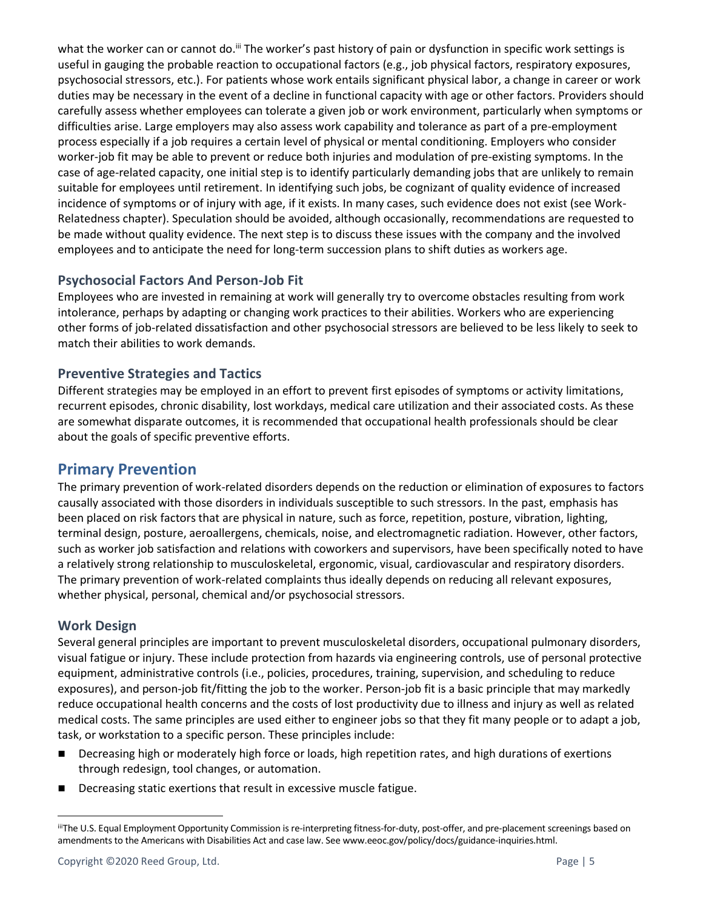what the worker can or cannot do.<sup>iii</sup> The worker's past history of pain or dysfunction in specific work settings is useful in gauging the probable reaction to occupational factors (e.g., job physical factors, respiratory exposures, psychosocial stressors, etc.). For patients whose work entails significant physical labor, a change in career or work duties may be necessary in the event of a decline in functional capacity with age or other factors. Providers should carefully assess whether employees can tolerate a given job or work environment, particularly when symptoms or difficulties arise. Large employers may also assess work capability and tolerance as part of a pre-employment process especially if a job requires a certain level of physical or mental conditioning. Employers who consider worker-job fit may be able to prevent or reduce both injuries and modulation of pre-existing symptoms. In the case of age-related capacity, one initial step is to identify particularly demanding jobs that are unlikely to remain suitable for employees until retirement. In identifying such jobs, be cognizant of quality evidence of increased incidence of symptoms or of injury with age, if it exists. In many cases, such evidence does not exist (see Work-Relatedness chapter). Speculation should be avoided, although occasionally, recommendations are requested to be made without quality evidence. The next step is to discuss these issues with the company and the involved employees and to anticipate the need for long-term succession plans to shift duties as workers age.

# **Psychosocial Factors And Person-Job Fit**

Employees who are invested in remaining at work will generally try to overcome obstacles resulting from work intolerance, perhaps by adapting or changing work practices to their abilities. Workers who are experiencing other forms of job-related dissatisfaction and other psychosocial stressors are believed to be less likely to seek to match their abilities to work demands.

# **Preventive Strategies and Tactics**

Different strategies may be employed in an effort to prevent first episodes of symptoms or activity limitations, recurrent episodes, chronic disability, lost workdays, medical care utilization and their associated costs. As these are somewhat disparate outcomes, it is recommended that occupational health professionals should be clear about the goals of specific preventive efforts.

# <span id="page-4-0"></span>**Primary Prevention**

The primary prevention of work-related disorders depends on the reduction or elimination of exposures to factors causally associated with those disorders in individuals susceptible to such stressors. In the past, emphasis has been placed on risk factors that are physical in nature, such as force, repetition, posture, vibration, lighting, terminal design, posture, aeroallergens, chemicals, noise, and electromagnetic radiation. However, other factors, such as worker job satisfaction and relations with coworkers and supervisors, have been specifically noted to have a relatively strong relationship to musculoskeletal, ergonomic, visual, cardiovascular and respiratory disorders. The primary prevention of work-related complaints thus ideally depends on reducing all relevant exposures, whether physical, personal, chemical and/or psychosocial stressors.

# <span id="page-4-1"></span>**Work Design**

Several general principles are important to prevent musculoskeletal disorders, occupational pulmonary disorders, visual fatigue or injury. These include protection from hazards via engineering controls, use of personal protective equipment, administrative controls (i.e., policies, procedures, training, supervision, and scheduling to reduce exposures), and person-job fit/fitting the job to the worker. Person-job fit is a basic principle that may markedly reduce occupational health concerns and the costs of lost productivity due to illness and injury as well as related medical costs. The same principles are used either to engineer jobs so that they fit many people or to adapt a job, task, or workstation to a specific person. These principles include:

- Decreasing high or moderately high force or loads, high repetition rates, and high durations of exertions through redesign, tool changes, or automation.
- Decreasing static exertions that result in excessive muscle fatigue.

iiiThe U.S. Equal Employment Opportunity Commission is re-interpreting fitness-for-duty, post-offer, and pre-placement screenings based on amendments to the Americans with Disabilities Act and case law. See www.eeoc.gov/policy/docs/guidance-inquiries.html.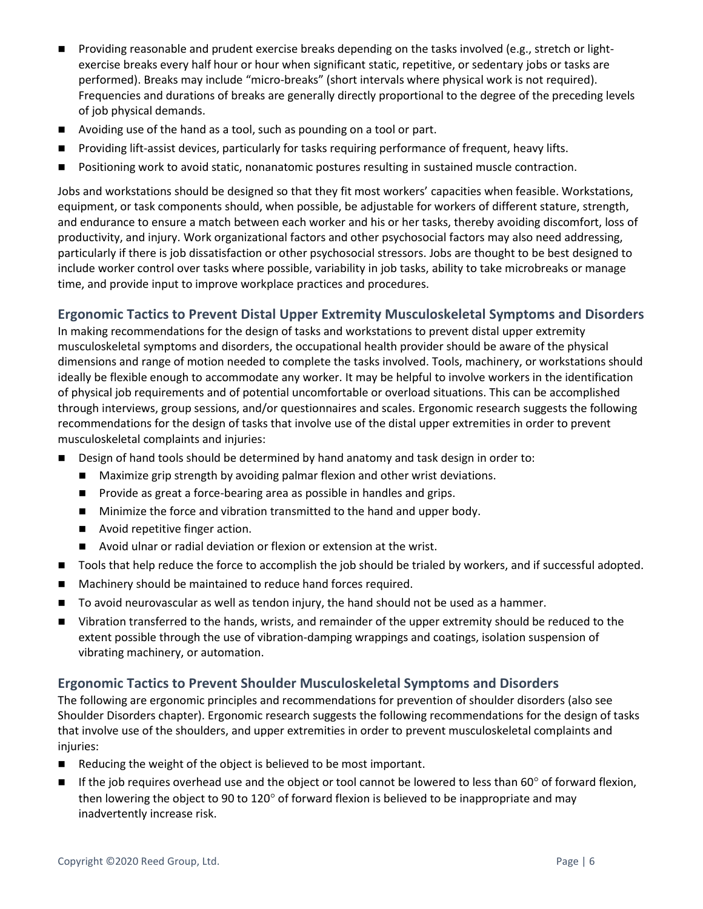- Providing reasonable and prudent exercise breaks depending on the tasks involved (e.g., stretch or lightexercise breaks every half hour or hour when significant static, repetitive, or sedentary jobs or tasks are performed). Breaks may include "micro-breaks" (short intervals where physical work is not required). Frequencies and durations of breaks are generally directly proportional to the degree of the preceding levels of job physical demands.
- Avoiding use of the hand as a tool, such as pounding on a tool or part.
- Providing lift-assist devices, particularly for tasks requiring performance of frequent, heavy lifts.
- Positioning work to avoid static, nonanatomic postures resulting in sustained muscle contraction.

Jobs and workstations should be designed so that they fit most workers' capacities when feasible. Workstations, equipment, or task components should, when possible, be adjustable for workers of different stature, strength, and endurance to ensure a match between each worker and his or her tasks, thereby avoiding discomfort, loss of productivity, and injury. Work organizational factors and other psychosocial factors may also need addressing, particularly if there is job dissatisfaction or other psychosocial stressors. Jobs are thought to be best designed to include worker control over tasks where possible, variability in job tasks, ability to take microbreaks or manage time, and provide input to improve workplace practices and procedures.

# **Ergonomic Tactics to Prevent Distal Upper Extremity Musculoskeletal Symptoms and Disorders**

In making recommendations for the design of tasks and workstations to prevent distal upper extremity musculoskeletal symptoms and disorders, the occupational health provider should be aware of the physical dimensions and range of motion needed to complete the tasks involved. Tools, machinery, or workstations should ideally be flexible enough to accommodate any worker. It may be helpful to involve workers in the identification of physical job requirements and of potential uncomfortable or overload situations. This can be accomplished through interviews, group sessions, and/or questionnaires and scales. Ergonomic research suggests the following recommendations for the design of tasks that involve use of the distal upper extremities in order to prevent musculoskeletal complaints and injuries:

- Design of hand tools should be determined by hand anatomy and task design in order to:
	- Maximize grip strength by avoiding palmar flexion and other wrist deviations.
	- Provide as great a force-bearing area as possible in handles and grips.
	- Minimize the force and vibration transmitted to the hand and upper body.
	- Avoid repetitive finger action.
	- Avoid ulnar or radial deviation or flexion or extension at the wrist.
- ◼ Tools that help reduce the force to accomplish the job should be trialed by workers, and if successful adopted.
- Machinery should be maintained to reduce hand forces required.
- To avoid neurovascular as well as tendon injury, the hand should not be used as a hammer.
- Vibration transferred to the hands, wrists, and remainder of the upper extremity should be reduced to the extent possible through the use of vibration-damping wrappings and coatings, isolation suspension of vibrating machinery, or automation.

#### **Ergonomic Tactics to Prevent Shoulder Musculoskeletal Symptoms and Disorders**

The following are ergonomic principles and recommendations for prevention of shoulder disorders (also see Shoulder Disorders chapter). Ergonomic research suggests the following recommendations for the design of tasks that involve use of the shoulders, and upper extremities in order to prevent musculoskeletal complaints and injuries:

- Reducing the weight of the object is believed to be most important.
- If the job requires overhead use and the object or tool cannot be lowered to less than 60° of forward flexion, then lowering the object to 90 to 120 $^{\circ}$  of forward flexion is believed to be inappropriate and may inadvertently increase risk.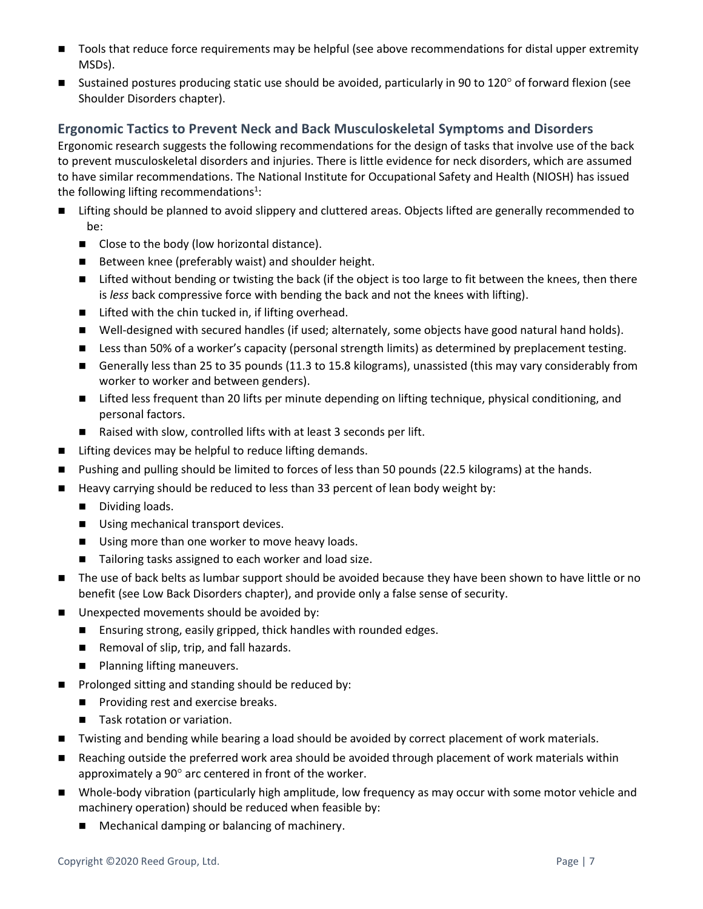- Tools that reduce force requirements may be helpful (see above recommendations for distal upper extremity MSDs).
- **■** Sustained postures producing static use should be avoided, particularly in 90 to 120 $^{\circ}$  of forward flexion (see Shoulder Disorders chapter).

### **Ergonomic Tactics to Prevent Neck and Back Musculoskeletal Symptoms and Disorders**

Ergonomic research suggests the following recommendations for the design of tasks that involve use of the back to prevent musculoskeletal disorders and injuries. There is little evidence for neck disorders, which are assumed to have similar recommendations. The National Institute for Occupational Safety and Health (NIOSH) has issued the following lifting recommendations<sup>1</sup>:

- Lifting should be planned to avoid slippery and cluttered areas. Objects lifted are generally recommended to be:
	- Close to the body (low horizontal distance).
	- Between knee (preferably waist) and shoulder height.
	- Lifted without bending or twisting the back (if the object is too large to fit between the knees, then there is *less* back compressive force with bending the back and not the knees with lifting).
	- Lifted with the chin tucked in, if lifting overhead.
	- Well-designed with secured handles (if used; alternately, some objects have good natural hand holds).
	- Less than 50% of a worker's capacity (personal strength limits) as determined by preplacement testing.
	- Generally less than 25 to 35 pounds (11.3 to 15.8 kilograms), unassisted (this may vary considerably from worker to worker and between genders).
	- Lifted less frequent than 20 lifts per minute depending on lifting technique, physical conditioning, and personal factors.
	- Raised with slow, controlled lifts with at least 3 seconds per lift.
- Lifting devices may be helpful to reduce lifting demands.
- Pushing and pulling should be limited to forces of less than 50 pounds (22.5 kilograms) at the hands.
- Heavy carrying should be reduced to less than 33 percent of lean body weight by:
	- Dividing loads.
	- Using mechanical transport devices.
	- Using more than one worker to move heavy loads.
	- Tailoring tasks assigned to each worker and load size.
- The use of back belts as lumbar support should be avoided because they have been shown to have little or no benefit (see Low Back Disorders chapter), and provide only a false sense of security.
- Unexpected movements should be avoided by:
	- Ensuring strong, easily gripped, thick handles with rounded edges.
	- Removal of slip, trip, and fall hazards.
	- Planning lifting maneuvers.
- Prolonged sitting and standing should be reduced by:
	- Providing rest and exercise breaks.
	- Task rotation or variation.
- Twisting and bending while bearing a load should be avoided by correct placement of work materials.
- Reaching outside the preferred work area should be avoided through placement of work materials within approximately a  $90^\circ$  arc centered in front of the worker.
- Whole-body vibration (particularly high amplitude, low frequency as may occur with some motor vehicle and machinery operation) should be reduced when feasible by:
	- Mechanical damping or balancing of machinery.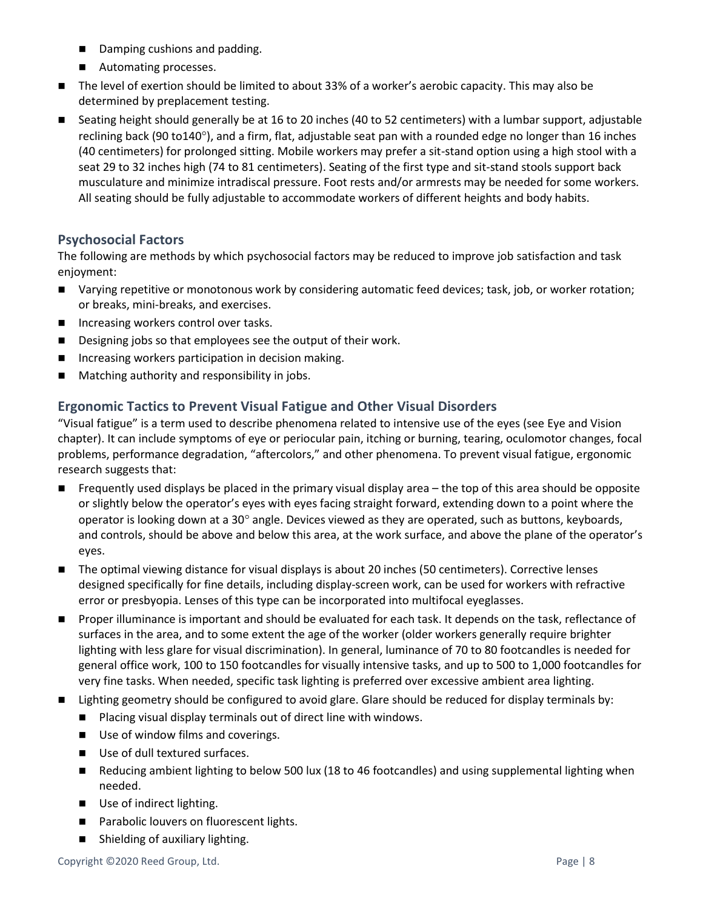- Damping cushions and padding.
- Automating processes.
- The level of exertion should be limited to about 33% of a worker's aerobic capacity. This may also be determined by preplacement testing.
- Seating height should generally be at 16 to 20 inches (40 to 52 centimeters) with a lumbar support, adjustable reclining back (90 to140 $^{\circ}$ ), and a firm, flat, adjustable seat pan with a rounded edge no longer than 16 inches (40 centimeters) for prolonged sitting. Mobile workers may prefer a sit-stand option using a high stool with a seat 29 to 32 inches high (74 to 81 centimeters). Seating of the first type and sit-stand stools support back musculature and minimize intradiscal pressure. Foot rests and/or armrests may be needed for some workers. All seating should be fully adjustable to accommodate workers of different heights and body habits.

# **Psychosocial Factors**

The following are methods by which psychosocial factors may be reduced to improve job satisfaction and task enjoyment:

- Varying repetitive or monotonous work by considering automatic feed devices; task, job, or worker rotation; or breaks, mini-breaks, and exercises.
- Increasing workers control over tasks.
- Designing jobs so that employees see the output of their work.
- Increasing workers participation in decision making.
- Matching authority and responsibility in jobs.

### **Ergonomic Tactics to Prevent Visual Fatigue and Other Visual Disorders**

"Visual fatigue" is a term used to describe phenomena related to intensive use of the eyes (see Eye and Vision chapter). It can include symptoms of eye or periocular pain, itching or burning, tearing, oculomotor changes, focal problems, performance degradation, "aftercolors," and other phenomena. To prevent visual fatigue, ergonomic research suggests that:

- Frequently used displays be placed in the primary visual display area the top of this area should be opposite or slightly below the operator's eyes with eyes facing straight forward, extending down to a point where the operator is looking down at a 30 $^{\circ}$  angle. Devices viewed as they are operated, such as buttons, keyboards, and controls, should be above and below this area, at the work surface, and above the plane of the operator's eyes.
- The optimal viewing distance for visual displays is about 20 inches (50 centimeters). Corrective lenses designed specifically for fine details, including display-screen work, can be used for workers with refractive error or presbyopia. Lenses of this type can be incorporated into multifocal eyeglasses.
- Proper illuminance is important and should be evaluated for each task. It depends on the task, reflectance of surfaces in the area, and to some extent the age of the worker (older workers generally require brighter lighting with less glare for visual discrimination). In general, luminance of 70 to 80 footcandles is needed for general office work, 100 to 150 footcandles for visually intensive tasks, and up to 500 to 1,000 footcandles for very fine tasks. When needed, specific task lighting is preferred over excessive ambient area lighting.
- Lighting geometry should be configured to avoid glare. Glare should be reduced for display terminals by:
	- Placing visual display terminals out of direct line with windows.
	- Use of window films and coverings.
	- Use of dull textured surfaces.
	- Reducing ambient lighting to below 500 lux (18 to 46 footcandles) and using supplemental lighting when needed.
	- Use of indirect lighting.
	- Parabolic louvers on fluorescent lights.
	- Shielding of auxiliary lighting.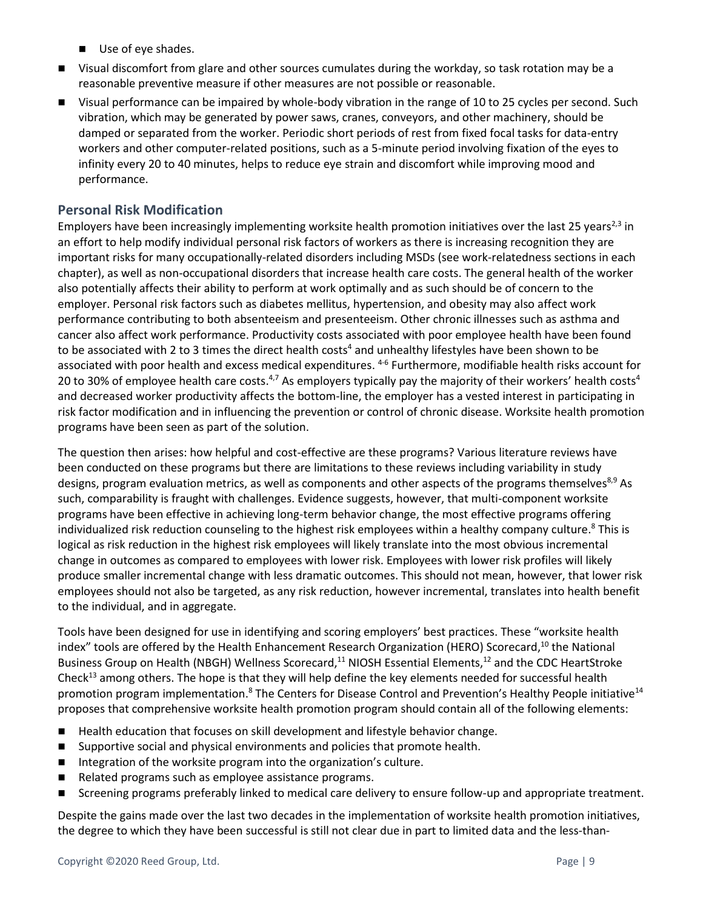- Use of eye shades.
- Visual discomfort from glare and other sources cumulates during the workday, so task rotation may be a reasonable preventive measure if other measures are not possible or reasonable.
- Visual performance can be impaired by whole-body vibration in the range of 10 to 25 cycles per second. Such vibration, which may be generated by power saws, cranes, conveyors, and other machinery, should be damped or separated from the worker. Periodic short periods of rest from fixed focal tasks for data-entry workers and other computer-related positions, such as a 5-minute period involving fixation of the eyes to infinity every 20 to 40 minutes, helps to reduce eye strain and discomfort while improving mood and performance.

#### **Personal Risk Modification**

Employers have been increasingly implementing worksite health promotion initiatives over the last 25 years<sup>2,3</sup> in an effort to help modify individual personal risk factors of workers as there is increasing recognition they are important risks for many occupationally-related disorders including MSDs (see work-relatedness sections in each chapter), as well as non-occupational disorders that increase health care costs. The general health of the worker also potentially affects their ability to perform at work optimally and as such should be of concern to the employer. Personal risk factors such as diabetes mellitus, hypertension, and obesity may also affect work performance contributing to both absenteeism and presenteeism. Other chronic illnesses such as asthma and cancer also affect work performance. Productivity costs associated with poor employee health have been found to be associated with 2 to 3 times the direct health costs<sup>4</sup> and unhealthy lifestyles have been shown to be associated with poor health and excess medical expenditures. <sup>4-6</sup> Furthermore, modifiable health risks account for 20 to 30% of employee health care costs.<sup>4,7</sup> As employers typically pay the majority of their workers' health costs<sup>4</sup> and decreased worker productivity affects the bottom-line, the employer has a vested interest in participating in risk factor modification and in influencing the prevention or control of chronic disease. Worksite health promotion programs have been seen as part of the solution.

The question then arises: how helpful and cost-effective are these programs? Various literature reviews have been conducted on these programs but there are limitations to these reviews including variability in study designs, program evaluation metrics, as well as components and other aspects of the programs themselves<sup>8,9</sup> As such, comparability is fraught with challenges. Evidence suggests, however, that multi-component worksite programs have been effective in achieving long-term behavior change, the most effective programs offering individualized risk reduction counseling to the highest risk employees within a healthy company culture.<sup>8</sup> This is logical as risk reduction in the highest risk employees will likely translate into the most obvious incremental change in outcomes as compared to employees with lower risk. Employees with lower risk profiles will likely produce smaller incremental change with less dramatic outcomes. This should not mean, however, that lower risk employees should not also be targeted, as any risk reduction, however incremental, translates into health benefit to the individual, and in aggregate.

Tools have been designed for use in identifying and scoring employers' best practices. These "worksite health index" tools are offered by the Health Enhancement Research Organization (HERO) Scorecard,<sup>10</sup> the National Business Group on Health (NBGH) Wellness Scorecard,<sup>11</sup> NIOSH Essential Elements,<sup>12</sup> and the CDC HeartStroke Check<sup>13</sup> among others. The hope is that they will help define the key elements needed for successful health promotion program implementation.<sup>8</sup> The Centers for Disease Control and Prevention's Healthy People initiative<sup>14</sup> proposes that comprehensive worksite health promotion program should contain all of the following elements:

- Health education that focuses on skill development and lifestyle behavior change.
- Supportive social and physical environments and policies that promote health.
- Integration of the worksite program into the organization's culture.
- Related programs such as employee assistance programs.
- Screening programs preferably linked to medical care delivery to ensure follow-up and appropriate treatment.

Despite the gains made over the last two decades in the implementation of worksite health promotion initiatives, the degree to which they have been successful is still not clear due in part to limited data and the less-than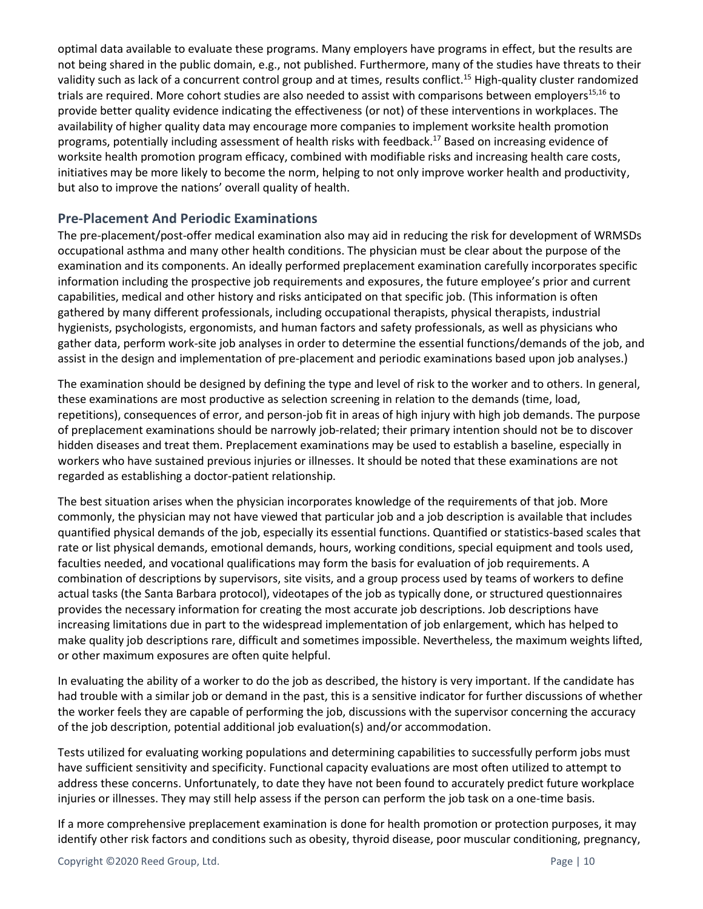optimal data available to evaluate these programs. Many employers have programs in effect, but the results are not being shared in the public domain, e.g., not published. Furthermore, many of the studies have threats to their validity such as lack of a concurrent control group and at times, results conflict.<sup>15</sup> High-quality cluster randomized trials are required. More cohort studies are also needed to assist with comparisons between employers<sup>15,16</sup> to provide better quality evidence indicating the effectiveness (or not) of these interventions in workplaces. The availability of higher quality data may encourage more companies to implement worksite health promotion programs, potentially including assessment of health risks with feedback. <sup>17</sup> Based on increasing evidence of worksite health promotion program efficacy, combined with modifiable risks and increasing health care costs, initiatives may be more likely to become the norm, helping to not only improve worker health and productivity, but also to improve the nations' overall quality of health.

# **Pre-Placement And Periodic Examinations**

The pre-placement/post-offer medical examination also may aid in reducing the risk for development of WRMSDs occupational asthma and many other health conditions. The physician must be clear about the purpose of the examination and its components. An ideally performed preplacement examination carefully incorporates specific information including the prospective job requirements and exposures, the future employee's prior and current capabilities, medical and other history and risks anticipated on that specific job. (This information is often gathered by many different professionals, including occupational therapists, physical therapists, industrial hygienists, psychologists, ergonomists, and human factors and safety professionals, as well as physicians who gather data, perform work-site job analyses in order to determine the essential functions/demands of the job, and assist in the design and implementation of pre-placement and periodic examinations based upon job analyses.)

The examination should be designed by defining the type and level of risk to the worker and to others. In general, these examinations are most productive as selection screening in relation to the demands (time, load, repetitions), consequences of error, and person-job fit in areas of high injury with high job demands. The purpose of preplacement examinations should be narrowly job-related; their primary intention should not be to discover hidden diseases and treat them. Preplacement examinations may be used to establish a baseline, especially in workers who have sustained previous injuries or illnesses. It should be noted that these examinations are not regarded as establishing a doctor-patient relationship.

The best situation arises when the physician incorporates knowledge of the requirements of that job. More commonly, the physician may not have viewed that particular job and a job description is available that includes quantified physical demands of the job, especially its essential functions. Quantified or statistics-based scales that rate or list physical demands, emotional demands, hours, working conditions, special equipment and tools used, faculties needed, and vocational qualifications may form the basis for evaluation of job requirements. A combination of descriptions by supervisors, site visits, and a group process used by teams of workers to define actual tasks (the Santa Barbara protocol), videotapes of the job as typically done, or structured questionnaires provides the necessary information for creating the most accurate job descriptions. Job descriptions have increasing limitations due in part to the widespread implementation of job enlargement, which has helped to make quality job descriptions rare, difficult and sometimes impossible. Nevertheless, the maximum weights lifted, or other maximum exposures are often quite helpful.

In evaluating the ability of a worker to do the job as described, the history is very important. If the candidate has had trouble with a similar job or demand in the past, this is a sensitive indicator for further discussions of whether the worker feels they are capable of performing the job, discussions with the supervisor concerning the accuracy of the job description, potential additional job evaluation(s) and/or accommodation.

Tests utilized for evaluating working populations and determining capabilities to successfully perform jobs must have sufficient sensitivity and specificity. Functional capacity evaluations are most often utilized to attempt to address these concerns. Unfortunately, to date they have not been found to accurately predict future workplace injuries or illnesses. They may still help assess if the person can perform the job task on a one-time basis.

If a more comprehensive preplacement examination is done for health promotion or protection purposes, it may identify other risk factors and conditions such as obesity, thyroid disease, poor muscular conditioning, pregnancy,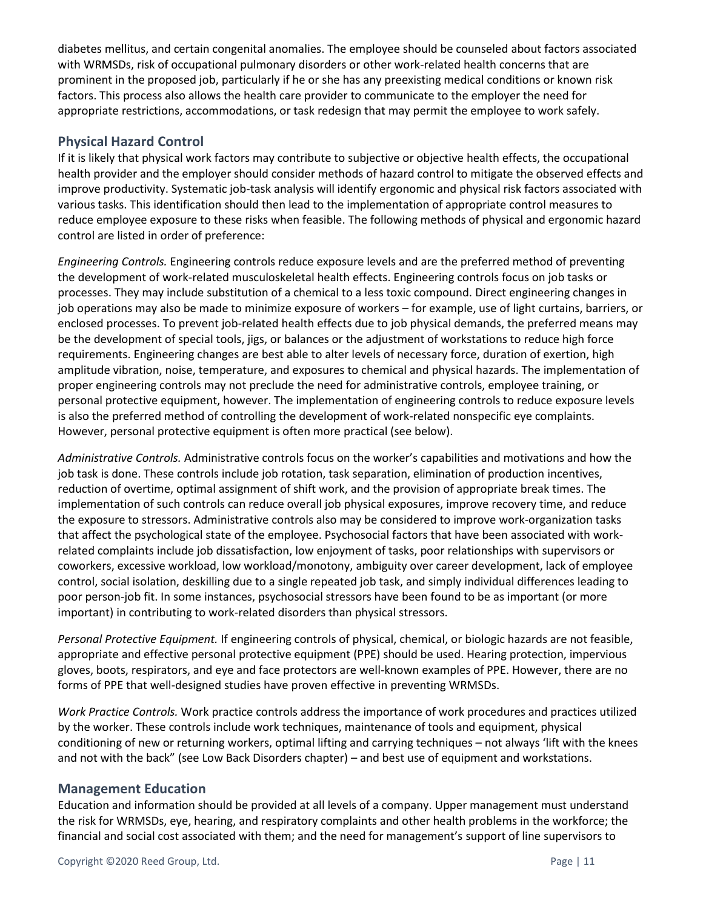diabetes mellitus, and certain congenital anomalies. The employee should be counseled about factors associated with WRMSDs, risk of occupational pulmonary disorders or other work-related health concerns that are prominent in the proposed job, particularly if he or she has any preexisting medical conditions or known risk factors. This process also allows the health care provider to communicate to the employer the need for appropriate restrictions, accommodations, or task redesign that may permit the employee to work safely.

# **Physical Hazard Control**

If it is likely that physical work factors may contribute to subjective or objective health effects, the occupational health provider and the employer should consider methods of hazard control to mitigate the observed effects and improve productivity. Systematic job-task analysis will identify ergonomic and physical risk factors associated with various tasks. This identification should then lead to the implementation of appropriate control measures to reduce employee exposure to these risks when feasible. The following methods of physical and ergonomic hazard control are listed in order of preference:

*Engineering Controls.* Engineering controls reduce exposure levels and are the preferred method of preventing the development of work-related musculoskeletal health effects. Engineering controls focus on job tasks or processes. They may include substitution of a chemical to a less toxic compound. Direct engineering changes in job operations may also be made to minimize exposure of workers – for example, use of light curtains, barriers, or enclosed processes. To prevent job-related health effects due to job physical demands, the preferred means may be the development of special tools, jigs, or balances or the adjustment of workstations to reduce high force requirements. Engineering changes are best able to alter levels of necessary force, duration of exertion, high amplitude vibration, noise, temperature, and exposures to chemical and physical hazards. The implementation of proper engineering controls may not preclude the need for administrative controls, employee training, or personal protective equipment, however. The implementation of engineering controls to reduce exposure levels is also the preferred method of controlling the development of work-related nonspecific eye complaints. However, personal protective equipment is often more practical (see below).

*Administrative Controls.* Administrative controls focus on the worker's capabilities and motivations and how the job task is done. These controls include job rotation, task separation, elimination of production incentives, reduction of overtime, optimal assignment of shift work, and the provision of appropriate break times. The implementation of such controls can reduce overall job physical exposures, improve recovery time, and reduce the exposure to stressors. Administrative controls also may be considered to improve work-organization tasks that affect the psychological state of the employee. Psychosocial factors that have been associated with workrelated complaints include job dissatisfaction, low enjoyment of tasks, poor relationships with supervisors or coworkers, excessive workload, low workload/monotony, ambiguity over career development, lack of employee control, social isolation, deskilling due to a single repeated job task, and simply individual differences leading to poor person-job fit. In some instances, psychosocial stressors have been found to be as important (or more important) in contributing to work-related disorders than physical stressors.

*Personal Protective Equipment.* If engineering controls of physical, chemical, or biologic hazards are not feasible, appropriate and effective personal protective equipment (PPE) should be used. Hearing protection, impervious gloves, boots, respirators, and eye and face protectors are well-known examples of PPE. However, there are no forms of PPE that well-designed studies have proven effective in preventing WRMSDs.

*Work Practice Controls.* Work practice controls address the importance of work procedures and practices utilized by the worker. These controls include work techniques, maintenance of tools and equipment, physical conditioning of new or returning workers, optimal lifting and carrying techniques – not always 'lift with the knees and not with the back" (see Low Back Disorders chapter) – and best use of equipment and workstations.

#### **Management Education**

Education and information should be provided at all levels of a company. Upper management must understand the risk for WRMSDs, eye, hearing, and respiratory complaints and other health problems in the workforce; the financial and social cost associated with them; and the need for management's support of line supervisors to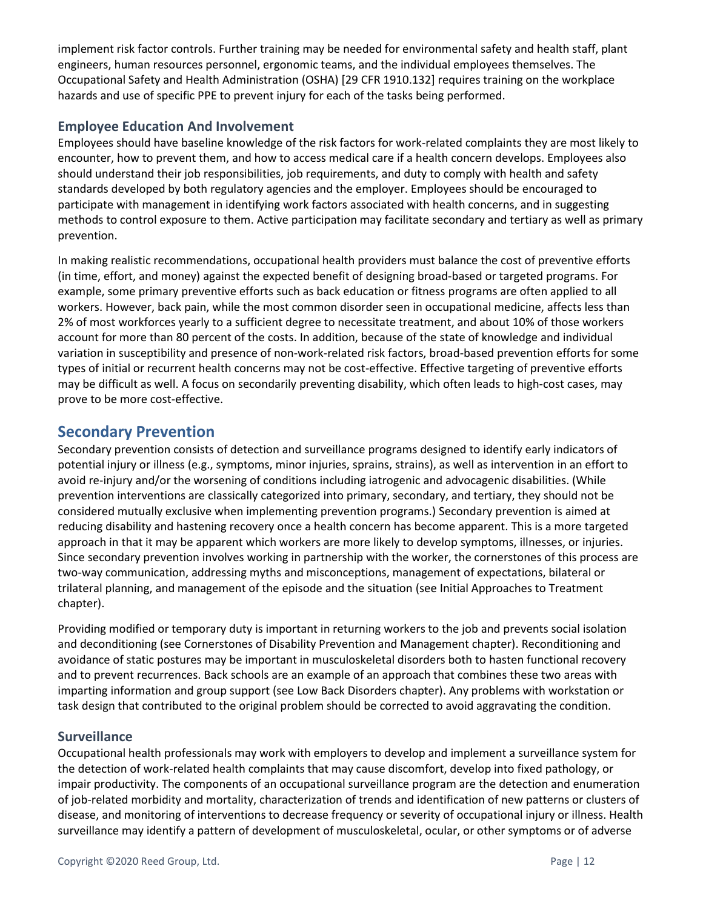implement risk factor controls. Further training may be needed for environmental safety and health staff, plant engineers, human resources personnel, ergonomic teams, and the individual employees themselves. The Occupational Safety and Health Administration (OSHA) [29 CFR 1910.132] requires training on the workplace hazards and use of specific PPE to prevent injury for each of the tasks being performed.

# **Employee Education And Involvement**

Employees should have baseline knowledge of the risk factors for work-related complaints they are most likely to encounter, how to prevent them, and how to access medical care if a health concern develops. Employees also should understand their job responsibilities, job requirements, and duty to comply with health and safety standards developed by both regulatory agencies and the employer. Employees should be encouraged to participate with management in identifying work factors associated with health concerns, and in suggesting methods to control exposure to them. Active participation may facilitate secondary and tertiary as well as primary prevention.

In making realistic recommendations, occupational health providers must balance the cost of preventive efforts (in time, effort, and money) against the expected benefit of designing broad-based or targeted programs. For example, some primary preventive efforts such as back education or fitness programs are often applied to all workers. However, back pain, while the most common disorder seen in occupational medicine, affects less than 2% of most workforces yearly to a sufficient degree to necessitate treatment, and about 10% of those workers account for more than 80 percent of the costs. In addition, because of the state of knowledge and individual variation in susceptibility and presence of non-work-related risk factors, broad-based prevention efforts for some types of initial or recurrent health concerns may not be cost-effective. Effective targeting of preventive efforts may be difficult as well. A focus on secondarily preventing disability, which often leads to high-cost cases, may prove to be more cost-effective.

# <span id="page-11-0"></span>**Secondary Prevention**

Secondary prevention consists of detection and surveillance programs designed to identify early indicators of potential injury or illness (e.g., symptoms, minor injuries, sprains, strains), as well as intervention in an effort to avoid re-injury and/or the worsening of conditions including iatrogenic and advocagenic disabilities. (While prevention interventions are classically categorized into primary, secondary, and tertiary, they should not be considered mutually exclusive when implementing prevention programs.) Secondary prevention is aimed at reducing disability and hastening recovery once a health concern has become apparent. This is a more targeted approach in that it may be apparent which workers are more likely to develop symptoms, illnesses, or injuries. Since secondary prevention involves working in partnership with the worker, the cornerstones of this process are two-way communication, addressing myths and misconceptions, management of expectations, bilateral or trilateral planning, and management of the episode and the situation (see Initial Approaches to Treatment chapter).

Providing modified or temporary duty is important in returning workers to the job and prevents social isolation and deconditioning (see Cornerstones of Disability Prevention and Management chapter). Reconditioning and avoidance of static postures may be important in musculoskeletal disorders both to hasten functional recovery and to prevent recurrences. Back schools are an example of an approach that combines these two areas with imparting information and group support (see Low Back Disorders chapter). Any problems with workstation or task design that contributed to the original problem should be corrected to avoid aggravating the condition.

# **Surveillance**

Occupational health professionals may work with employers to develop and implement a surveillance system for the detection of work-related health complaints that may cause discomfort, develop into fixed pathology, or impair productivity. The components of an occupational surveillance program are the detection and enumeration of job-related morbidity and mortality, characterization of trends and identification of new patterns or clusters of disease, and monitoring of interventions to decrease frequency or severity of occupational injury or illness. Health surveillance may identify a pattern of development of musculoskeletal, ocular, or other symptoms or of adverse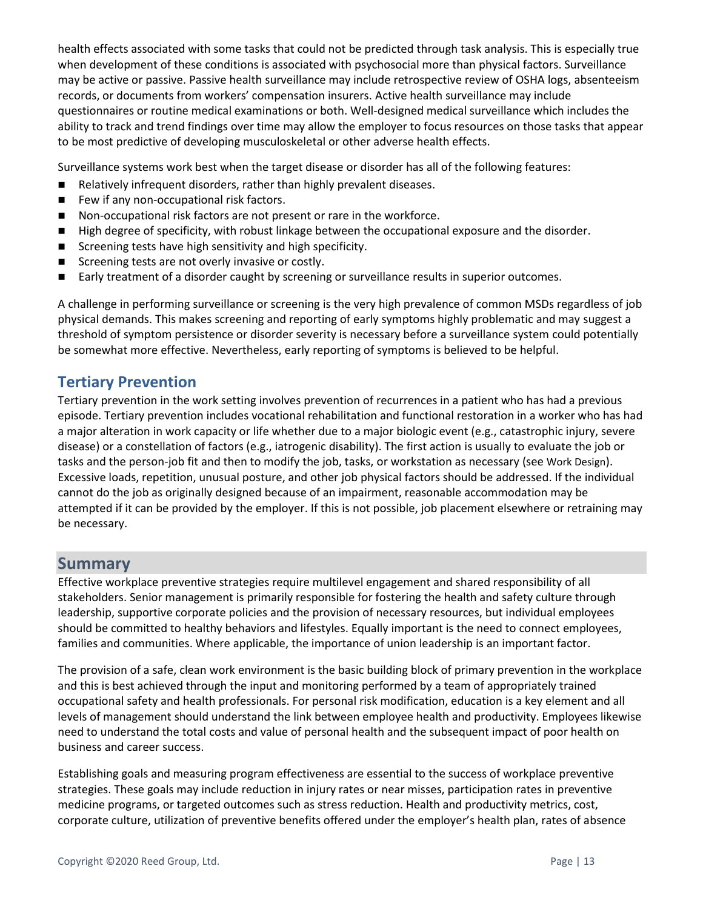health effects associated with some tasks that could not be predicted through task analysis. This is especially true when development of these conditions is associated with psychosocial more than physical factors. Surveillance may be active or passive. Passive health surveillance may include retrospective review of OSHA logs, absenteeism records, or documents from workers' compensation insurers. Active health surveillance may include questionnaires or routine medical examinations or both. Well-designed medical surveillance which includes the ability to track and trend findings over time may allow the employer to focus resources on those tasks that appear to be most predictive of developing musculoskeletal or other adverse health effects.

Surveillance systems work best when the target disease or disorder has all of the following features:

- Relatively infrequent disorders, rather than highly prevalent diseases.
- Few if any non-occupational risk factors.
- Non-occupational risk factors are not present or rare in the workforce.
- High degree of specificity, with robust linkage between the occupational exposure and the disorder.
- Screening tests have high sensitivity and high specificity.
- Screening tests are not overly invasive or costly.
- Early treatment of a disorder caught by screening or surveillance results in superior outcomes.

A challenge in performing surveillance or screening is the very high prevalence of common MSDs regardless of job physical demands. This makes screening and reporting of early symptoms highly problematic and may suggest a threshold of symptom persistence or disorder severity is necessary before a surveillance system could potentially be somewhat more effective. Nevertheless, early reporting of symptoms is believed to be helpful.

# <span id="page-12-0"></span>**Tertiary Prevention**

Tertiary prevention in the work setting involves prevention of recurrences in a patient who has had a previous episode. Tertiary prevention includes vocational rehabilitation and functional restoration in a worker who has had a major alteration in work capacity or life whether due to a major biologic event (e.g., catastrophic injury, severe disease) or a constellation of factors (e.g., iatrogenic disability). The first action is usually to evaluate the job or tasks and the person-job fit and then to modify the job, tasks, or workstation as necessary (see [Work Design](#page-4-1)). Excessive loads, repetition, unusual posture, and other job physical factors should be addressed. If the individual cannot do the job as originally designed because of an impairment, reasonable accommodation may be attempted if it can be provided by the employer. If this is not possible, job placement elsewhere or retraining may be necessary.

# <span id="page-12-1"></span>**Summary**

Effective workplace preventive strategies require multilevel engagement and shared responsibility of all stakeholders. Senior management is primarily responsible for fostering the health and safety culture through leadership, supportive corporate policies and the provision of necessary resources, but individual employees should be committed to healthy behaviors and lifestyles. Equally important is the need to connect employees, families and communities. Where applicable, the importance of union leadership is an important factor.

The provision of a safe, clean work environment is the basic building block of primary prevention in the workplace and this is best achieved through the input and monitoring performed by a team of appropriately trained occupational safety and health professionals. For personal risk modification, education is a key element and all levels of management should understand the link between employee health and productivity. Employees likewise need to understand the total costs and value of personal health and the subsequent impact of poor health on business and career success.

Establishing goals and measuring program effectiveness are essential to the success of workplace preventive strategies. These goals may include reduction in injury rates or near misses, participation rates in preventive medicine programs, or targeted outcomes such as stress reduction. Health and productivity metrics, cost, corporate culture, utilization of preventive benefits offered under the employer's health plan, rates of absence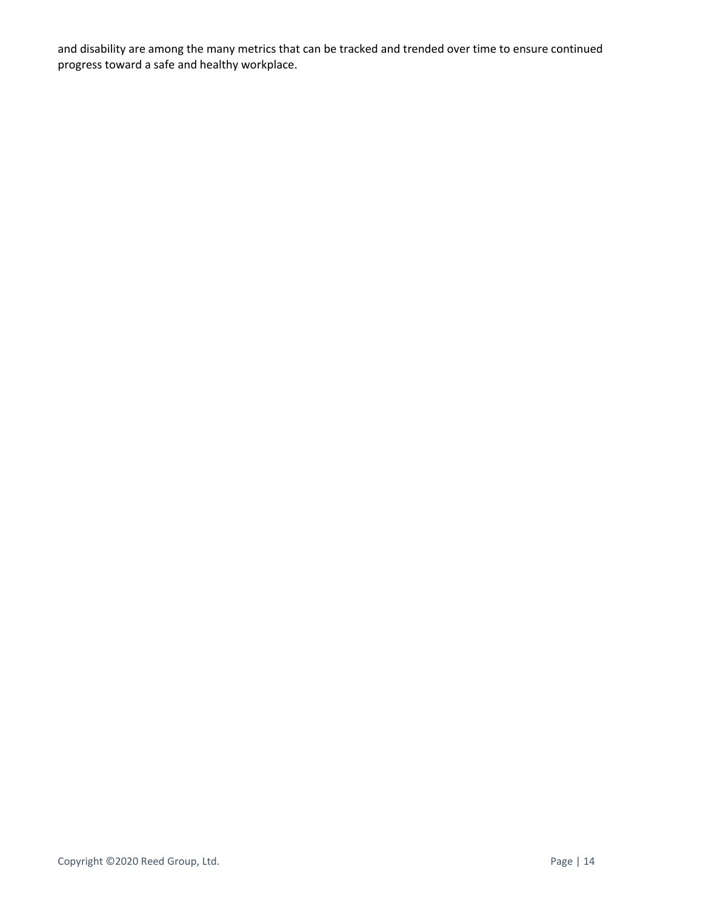and disability are among the many metrics that can be tracked and trended over time to ensure continued progress toward a safe and healthy workplace.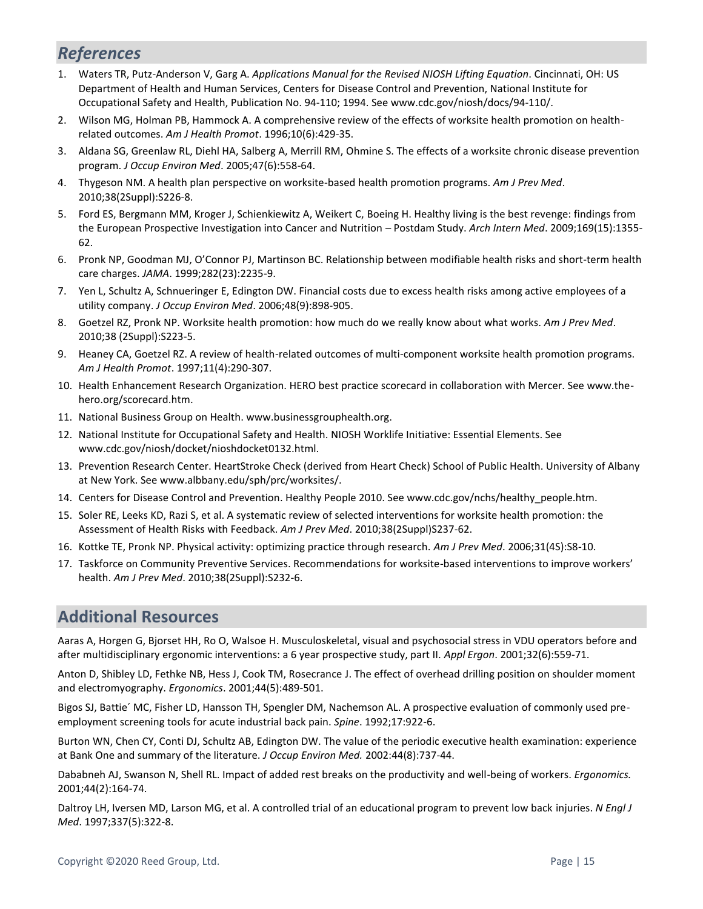# <span id="page-14-0"></span>*References*

- 1. Waters TR, Putz-Anderson V, Garg A. *Applications Manual for the Revised NIOSH Lifting Equation*. Cincinnati, OH: US Department of Health and Human Services, Centers for Disease Control and Prevention, National Institute for Occupational Safety and Health, Publication No. 94-110; 1994. See www.cdc.gov/niosh/docs/94-110/.
- 2. Wilson MG, Holman PB, Hammock A. A comprehensive review of the effects of worksite health promotion on healthrelated outcomes. *Am J Health Promot*. 1996;10(6):429-35.
- 3. Aldana SG, Greenlaw RL, Diehl HA, Salberg A, Merrill RM, Ohmine S. The effects of a worksite chronic disease prevention program. *J Occup Environ Med*. 2005;47(6):558-64.
- 4. Thygeson NM. A health plan perspective on worksite-based health promotion programs. *Am J Prev Med*. 2010;38(2Suppl):S226-8.
- 5. Ford ES, Bergmann MM, Kroger J, Schienkiewitz A, Weikert C, Boeing H. Healthy living is the best revenge: findings from the European Prospective Investigation into Cancer and Nutrition – Postdam Study. *Arch Intern Med*. 2009;169(15):1355- 62.
- 6. Pronk NP, Goodman MJ, O'Connor PJ, Martinson BC. Relationship between modifiable health risks and short-term health care charges. *JAMA*. 1999;282(23):2235-9.
- 7. Yen L, Schultz A, Schnueringer E, Edington DW. Financial costs due to excess health risks among active employees of a utility company. *J Occup Environ Med*. 2006;48(9):898-905.
- 8. Goetzel RZ, Pronk NP. Worksite health promotion: how much do we really know about what works. *Am J Prev Med*. 2010;38 (2Suppl):S223-5.
- 9. Heaney CA, Goetzel RZ. A review of health-related outcomes of multi-component worksite health promotion programs. *Am J Health Promot*. 1997;11(4):290-307.
- 10. Health Enhancement Research Organization. HERO best practice scorecard in collaboration with Mercer. See www.thehero.org/scorecard.htm.
- 11. National Business Group on Health. www.businessgrouphealth.org.
- 12. National Institute for Occupational Safety and Health. NIOSH Worklife Initiative: Essential Elements. See www.cdc.gov/niosh/docket/nioshdocket0132.html.
- 13. Prevention Research Center. HeartStroke Check (derived from Heart Check) School of Public Health. University of Albany at New York. See www.albbany.edu/sph/prc/worksites/.
- 14. Centers for Disease Control and Prevention. Healthy People 2010. See www.cdc.gov/nchs/healthy\_people.htm.
- 15. Soler RE, Leeks KD, Razi S, et al. A systematic review of selected interventions for worksite health promotion: the Assessment of Health Risks with Feedback. *Am J Prev Med*. 2010;38(2Suppl)S237-62.
- 16. Kottke TE, Pronk NP. Physical activity: optimizing practice through research. *Am J Prev Med*. 2006;31(4S):S8-10.
- 17. Taskforce on Community Preventive Services. Recommendations for worksite-based interventions to improve workers' health. *Am J Prev Med*. 2010;38(2Suppl):S232-6.

# <span id="page-14-1"></span>**Additional Resources**

Aaras A, Horgen G, Bjorset HH, Ro O, Walsoe H. Musculoskeletal, visual and psychosocial stress in VDU operators before and after multidisciplinary ergonomic interventions: a 6 year prospective study, part II. *Appl Ergon*. 2001;32(6):559-71.

Anton D, Shibley LD, Fethke NB, Hess J, Cook TM, Rosecrance J. The effect of overhead drilling position on shoulder moment and electromyography. *Ergonomics*. 2001;44(5):489-501.

Bigos SJ, Battie´ MC, Fisher LD, Hansson TH, Spengler DM, Nachemson AL. A prospective evaluation of commonly used preemployment screening tools for acute industrial back pain. *Spine*. 1992;17:922-6.

Burton WN, Chen CY, Conti DJ, Schultz AB, Edington DW. The value of the periodic executive health examination: experience at Bank One and summary of the literature. *J Occup Environ Med.* 2002:44(8):737-44.

Dababneh AJ, Swanson N, Shell RL. Impact of added rest breaks on the productivity and well-being of workers. *Ergonomics.*  2001;44(2):164-74.

Daltroy LH, Iversen MD, Larson MG, et al. A controlled trial of an educational program to prevent low back injuries. *N Engl J Med*. 1997;337(5):322-8.